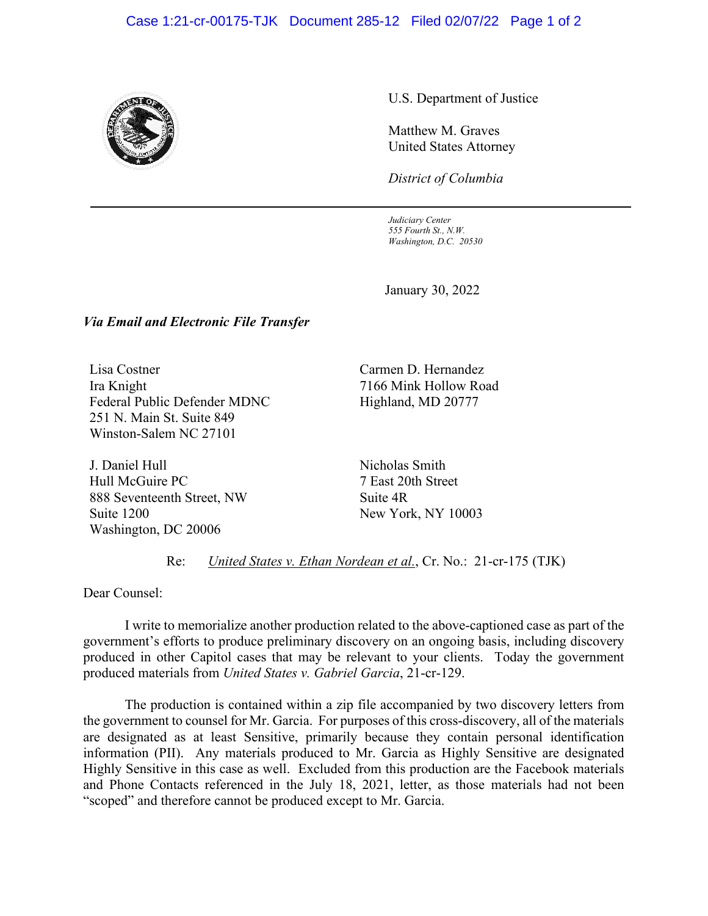## Case 1:21-cr-00175-TJK Document 285-12 Filed 02/07/22 Page 1 of 2



U.S. Department of Justice

Matthew M. Graves United States Attorney

*District of Columbia*

*Judiciary Center 555 Fourth St., N.W. Washington, D.C. 20530*

January 30, 2022

## *Via Email and Electronic File Transfer*

Lisa Costner Ira Knight Federal Public Defender MDNC 251 N. Main St. Suite 849 Winston-Salem NC 27101

J. Daniel Hull Hull McGuire PC 888 Seventeenth Street, NW Suite 1200 Washington, DC 20006

Carmen D. Hernandez 7166 Mink Hollow Road Highland, MD 20777

Nicholas Smith 7 East 20th Street Suite 4R New York, NY 10003

Re: *United States v. Ethan Nordean et al.*, Cr. No.: 21-cr-175 (TJK)

Dear Counsel:

I write to memorialize another production related to the above-captioned case as part of the government's efforts to produce preliminary discovery on an ongoing basis, including discovery produced in other Capitol cases that may be relevant to your clients. Today the government produced materials from *United States v. Gabriel Garcia*, 21-cr-129.

The production is contained within a zip file accompanied by two discovery letters from the government to counsel for Mr. Garcia. For purposes of this cross-discovery, all of the materials are designated as at least Sensitive, primarily because they contain personal identification information (PII). Any materials produced to Mr. Garcia as Highly Sensitive are designated Highly Sensitive in this case as well. Excluded from this production are the Facebook materials and Phone Contacts referenced in the July 18, 2021, letter, as those materials had not been "scoped" and therefore cannot be produced except to Mr. Garcia.